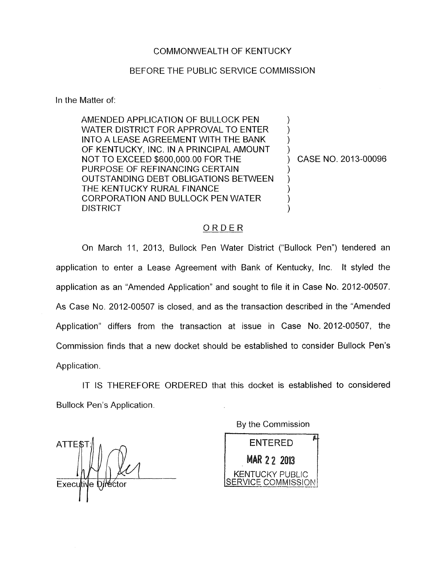## COMMONWEALTH OF KENTUCKY

## BEFORE THE PUBLIC SERVICE COMMISSION

In the Matter of:

AMENDED APPLICATION OF BULLOCK PEN WATER DISTRICT FOR APPROVAL TO ENTER INTO A LEASE AGREEMENT WITH THE BANK OF KENTUCKY, INC. IN A PRINCIPAL AMOUNT NOT TO EXCEED \$600,000.00 FOR THE PURPOSE OF REFINANCING CERTAIN OUTSTANDING DEBT OBLIGATIONS BETWEEN THE KENTUCKY RURAL FINANCE CORPORATION AND BULLOCK PEN WATER DISTRICT

) CASE NO. 2013-00096

) ) ) )

) ) ) ) )

## ORDER

On March 11, 2013, Bullock Pen Water District ("Bullock Pen") tendered an application to enter a Lease Agreement with Bank of Kentucky, Inc. It styled the application as an "Amended Application" and sought to file it in Case No. 2012-00507. As Case No. 2012-00507 is closed, and as the transaction described in the "Amended Application" differs from the transaction at issue in Case No. 2012-00507, the Commission finds that a new docket should be established to consider Bullock Pen's Application.

IT IS THEREFORE ORDERED that this docket is established to considered Bullock Pen's Application.

ATTE\$ Executive Di

By the Commission